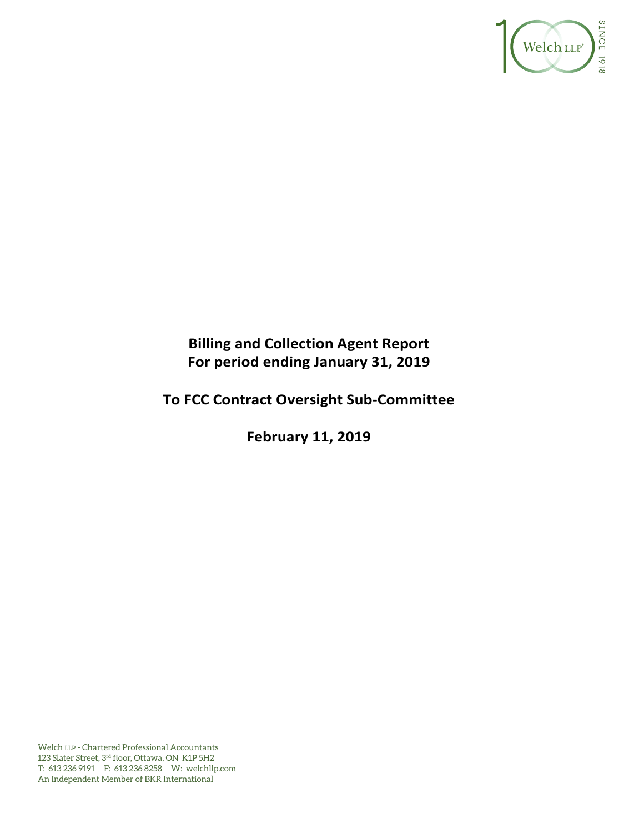

# **Billing and Collection Agent Report For period ending January 31, 2019**

# **To FCC Contract Oversight Sub-Committee**

**February 11, 2019**

Welch LLP - Chartered Professional Accountants 123 Slater Street, 3rd floor, Ottawa, ON K1P 5H2 T: 613 236 9191 F: 613 236 8258 W: welchllp.com An Independent Member of BKR International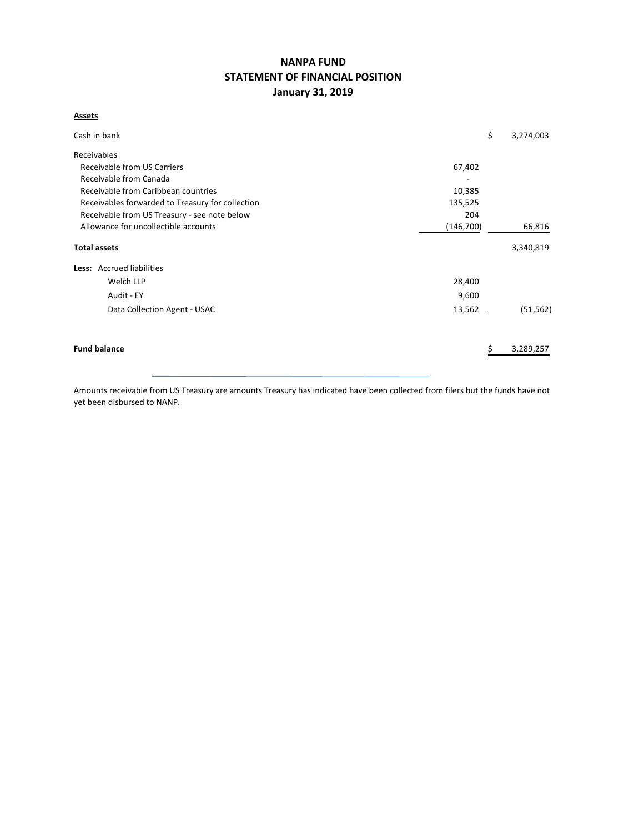# **NANPA FUND STATEMENT OF FINANCIAL POSITION January 31, 2019**

### **Assets**

| Cash in bank                                     |            | \$<br>3,274,003 |
|--------------------------------------------------|------------|-----------------|
| Receivables                                      |            |                 |
| Receivable from US Carriers                      | 67,402     |                 |
| Receivable from Canada                           |            |                 |
| Receivable from Caribbean countries              | 10,385     |                 |
| Receivables forwarded to Treasury for collection | 135,525    |                 |
| Receivable from US Treasury - see note below     | 204        |                 |
| Allowance for uncollectible accounts             | (146, 700) | 66,816          |
| <b>Total assets</b>                              |            | 3,340,819       |
| Less: Accrued liabilities                        |            |                 |
| Welch LLP                                        | 28,400     |                 |
| Audit - EY                                       | 9,600      |                 |
| Data Collection Agent - USAC                     | 13,562     | (51, 562)       |
| <b>Fund balance</b>                              |            | 3,289,257       |
|                                                  |            |                 |

Amounts receivable from US Treasury are amounts Treasury has indicated have been collected from filers but the funds have not yet been disbursed to NANP.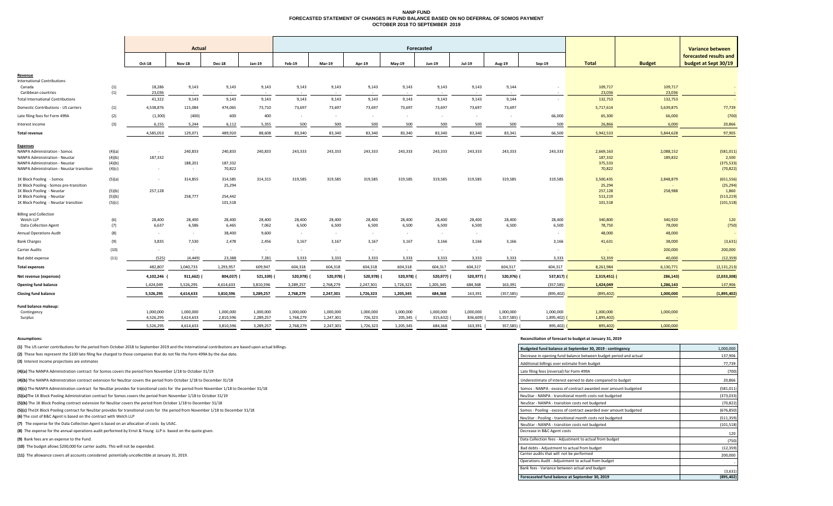## **NANP FUND FORECASTED STATEMENT OF CHANGES IN FUND BALANCE BASED ON NO DEFERRAL OF SOMOS PAYMENT OCTOBER 2018 TO SEPTEMBER 2019**

|                                             |        |                          |                |               |                   |               |               |                          |               |                |               |               |                         |               |               | <b>Variance between</b>                        |
|---------------------------------------------|--------|--------------------------|----------------|---------------|-------------------|---------------|---------------|--------------------------|---------------|----------------|---------------|---------------|-------------------------|---------------|---------------|------------------------------------------------|
|                                             |        | <b>Actual</b>            |                |               | <b>Forecasted</b> |               |               |                          |               |                |               |               |                         |               |               |                                                |
|                                             |        | <b>Oct-18</b>            | <b>Nov-18</b>  | <b>Dec-18</b> | <b>Jan-19</b>     | <b>Feb-19</b> | <b>Mar-19</b> | <b>Apr-19</b>            | <b>May-19</b> | <b>Jun-19</b>  | <b>Jul-19</b> | <b>Aug-19</b> | <b>Sep-19</b>           | <b>Total</b>  | <b>Budget</b> | forecasted results and<br>budget at Sept 30/19 |
| Revenue                                     |        |                          |                |               |                   |               |               |                          |               |                |               |               |                         |               |               |                                                |
| <b>International Contributions</b>          |        |                          |                |               |                   |               |               |                          |               |                |               |               |                         |               |               |                                                |
| Canada                                      | (1)    | 18,286                   | 9,143          | 9,143         | 9,143             | 9,143         | 9,143         | 9,143                    | 9,143         | 9,143          | 9,143         | 9,144         |                         | 109,717       | 109,717       | $\sim$ $-$                                     |
| Caribbean countries                         | (1)    | 23,036                   | $\sim$ $ \sim$ | $\sim$        |                   | $\sim$        |               | $\overline{a}$           | $\sim$        | $\sim$ $ \sim$ |               | $\sim$        | $\sim$                  | 23,036        | 23,036        |                                                |
| <b>Total International Contributions</b>    |        | 41,322                   | 9,143          | 9,143         | 9,143             | 9,143         | 9,143         | 9,143                    | 9,143         | 9,143          | 9,143         | 9,144         | $\sim$                  | 132,753       | 132,753       | $\sim$ $-$                                     |
| <b>Domestic Contributions - US carriers</b> | (1)    | 4,538,876                | 115,084        | 474,065       | 73,710            | 73,697        | 73,697        | 73,697                   | 73,697        | 73,697         | 73,697        | 73,697        |                         | 5,717,614     | 5,639,875     | 77,739                                         |
| Late filing fees for Form 499A              | (2)    | (1,300)                  | (400)          | 600           | 400               | $\sim$        | $\sim$        | $\sim$                   | $\sim$        | $\sim$         |               | $\sim$        | 66,000                  | 65,300        | 66,000        | (700)                                          |
| Interest income                             | (3)    | 6,155                    | 5,244          | 6,112         | 5,355             | 500           | 500           | 500                      | 500           | 500            | 500           | 500           | 500                     | 26,866        | 6,000         | 20,866                                         |
| <b>Total revenue</b>                        |        | 4,585,053                | 129,071        | 489,920       | 88,608            | 83,340        | 83,340        | 83,340                   | 83,340        | 83,340         | 83,340        | 83,341        | 66,500                  | 5,942,533     | 5,844,628     | 97,905                                         |
| <b>Expenses</b>                             |        |                          |                |               |                   |               |               |                          |               |                |               |               |                         |               |               |                                                |
| <b>NANPA Administration - Somos</b>         | (4)(a) | $\sim$                   | 240,833        | 240,833       | 240,833           | 243,333       | 243,333       | 243,333                  | 243,333       | 243,333        | 243,333       | 243,333       | 243,333                 | 2,669,163     | 2,088,152     | (581, 011)                                     |
| <b>NANPA Administration - Neustar</b>       | (4)(b) | 187,332                  |                |               |                   |               |               |                          |               |                |               |               |                         | 187,332       | 189,832       | 2,500                                          |
| <b>NANPA Administration - Neustar</b>       | (4)(b) |                          | 188,201        | 187,332       |                   |               |               |                          |               |                |               |               |                         | 375,533       |               | (375, 533)                                     |
| NANPA Administration - Neustar transition   | (4)(c) | $\overline{\phantom{0}}$ | $\sim$         | 70,822        |                   |               |               |                          |               |                |               |               |                         | 70,822        |               | (70, 822)                                      |
| 1K Block Pooling - Somos                    | (5)(a) | $\overline{\phantom{0}}$ | 314,855        | 314,585       | 314,315           | 319,585       | 319,585       | 319,585                  | 319,585       | 319,585        | 319,585       | 319,585       | 319,585                 | 3,500,435     | 2,848,879     | (651, 556)                                     |
| 1K Block Pooling - Somos pre-transition     |        |                          |                | 25,294        |                   |               |               |                          |               |                |               |               |                         | 25,294        | $\sim$ $-$    | (25, 294)                                      |
| 1K Block Pooling - Neustar                  | (5)(b) | 257,128                  |                |               |                   |               |               |                          |               |                |               |               |                         | 257,128       | 258,988       | 1,860                                          |
| 1K Block Pooling - Neustar                  | (5)(b) |                          | 258,777        | 254,442       |                   |               |               |                          |               |                |               |               |                         | 513,219       |               | (513, 219)                                     |
| 1K Block Pooling - Neustar transition       | (5)(c) |                          |                | 101,518       |                   |               |               |                          |               |                |               |               |                         | 101,518       |               | (101, 518)                                     |
| <b>Billing and Collection</b>               |        |                          |                |               |                   |               |               |                          |               |                |               |               |                         |               |               |                                                |
| Welch LLP                                   | (6)    | 28,400                   | 28,400         | 28,400        | 28,400            | 28,400        | 28,400        | 28,400                   | 28,400        | 28,400         | 28,400        | 28,400        | 28,400                  | 340,800       | 340,920       | 120                                            |
| <b>Data Collection Agent</b>                | (7)    | 6,637                    | 6,586          | 6,465         | 7,062             | 6,500         | 6,500         | 6,500                    | 6,500         | 6,500          | 6,500         | 6,500         | 6,500                   | 78,750        | 78,000        | (750)                                          |
| <b>Annual Operations Audit</b>              | (8)    | $\sim$                   | $\sim$         | 38,400        | 9,600             | $\sim$        | $\sim$ $-$    | $\sim$                   | $\sim$        | $\sim$         |               |               |                         | 48,000        | 48,000        |                                                |
| <b>Bank Charges</b>                         | (9)    | 3,835                    | 7,530          | 2,478         | 2,456             | 3,167         | 3,167         | 3,167                    | 3,167         | 3,166          | 3,166         | 3,166         | 3,166                   | 41,631        | 38,000        | (3,631)                                        |
| <b>Carrier Audits</b>                       | (10)   | $\sim$                   | $\sim$         | $\sim$        |                   | $\sim$        | $\sim$        | $\overline{\phantom{0}}$ | $\sim$        | $\sim$         |               | $\sim$        | $\sim$                  | $\sim$        | 200,000       | 200,000                                        |
| Bad debt expense                            | (11)   | (525)                    | (4, 449)       | 23,388        | 7,281             | 3,333         | 3,333         | 3,333                    | 3,333         | 3,333          | 3,333         | 3,333         | 3,333                   | 52,359        | 40,000        | (12, 359)                                      |
| <b>Total expenses</b>                       |        | 482,807                  | 1,040,733      | 1,293,957     | 609,947           | 604,318       | 604,318       | 604,318                  | 604,318       | 604,317        | 604,317       | 604,317       | 604,317                 | 8,261,984     | 6,130,771     | (2, 131, 213)                                  |
| Net revenue (expenses)                      |        | 4,102,246 (              | 911,662) (     | 804,037) (    | 521,339) (        | 520,978) (    | 520,978) (    | 520,978)                 | 520,978) (    | 520,977) (     | 520,977) (    | 520,976) (    | 537,817) <mark>(</mark> | $2,319,451$ ( | 286,143)      | (2,033,308)                                    |
| <b>Opening fund balance</b>                 |        | 1,424,049                | 5,526,295      | 4,614,633     | 3,810,596         | 3,289,257     | 2,768,279     | 2,247,301                | 1,726,323     | 1,205,345      | 684,368       | 163,391       | (357, 585)              | 1,424,049     | 1,286,143     | 137,906                                        |
| <b>Closing fund balance</b>                 |        | 5,526,295                | 4,614,633      | 3,810,596     | 3,289,257         | 2,768,279     | 2,247,301     | 1,726,323                | 1,205,345     | 684,368        | 163,391       | (357, 585)    | (895, 402)              | (895, 402)    | 1,000,000     | (1,895,402)                                    |
| <b>Fund balance makeup:</b>                 |        |                          |                |               |                   |               |               |                          |               |                |               |               |                         |               |               |                                                |
| Contingency                                 |        | 1,000,000                | 1,000,000      | 1,000,000     | 1,000,000         | 1,000,000     | 1,000,000     | 1,000,000                | 1,000,000     | 1,000,000      | 1,000,000     | 1,000,000     | 1,000,000               | 1,000,000     | 1,000,000     |                                                |
| Surplus                                     |        | 4,526,295                | 3,614,633      | 2,810,596     | 2,289,257         | 1,768,279     | 1,247,301     | 726,323                  | 205,345       | 315,632)       | 836,609)      | 1,357,585) (  | 1,895,402)              | 1,895,402)    |               |                                                |
|                                             |        | 5,526,295                | 4,614,633      | 3,810,596     | 3,289,257         | 2,768,279     | 2,247,301     | 1,726,323                | 1,205,345     | 684,368        | 163,391       | 357,585) (    | 895,402)                | 895,402)      | 1,000,000     |                                                |
|                                             |        |                          |                |               |                   |               |               |                          |               |                |               |               |                         |               |               |                                                |

**Assumptions: Reconciliation of forecast to budget at January 31, 2019**

| (1) The US carrier contributions for the period from October 2018 to September 2019 and the International contributions are based upon actual billings. | Budgeted fund balance at September 30, 2019 - contingency         | 1,000,000  |
|---------------------------------------------------------------------------------------------------------------------------------------------------------|-------------------------------------------------------------------|------------|
| (2) These fees represent the \$100 late filing fee charged to those companies that do not file the Form 499A by the due date.                           | Decrease in opening fund balance between budget period and actual | 137,906    |
| (3) Interest income projections are estimates                                                                                                           | Additional billings over estimate from budget                     | 77,739     |
| (4)(a) The NANPA Administration contract for Somos covers the period from November 1/18 to October 31/19                                                | Late filing fees (reversal) for Form 499A                         | (700)      |
| (4)(b) The NANPA Administration contract extension for NeuStar covers the period from October 1/18 to December 31/18                                    | Underestimate of interest earned to date compared to budget       | 20,866     |
| (4)(c) The NANPA Administration contract for NeuStar provides for transitional costs for the period from November 1/18 to December 31/18                | Somos - NANPA - excess of contract awarded over amount budgeted   | (581, 011) |
| (5)(a) The 1K Block Pooling Administration contract for Somos covers the period from November 1/18 to October 31/19                                     | NeuStar - NANPA - transitional month costs not budgeted           | (373, 033) |
| (5)(b) The 1K Block Pooling contract extension for NeuStar covers the period from October 1/18 to December 31/18                                        | NeuStar - NANPA - transition costs not budgeted                   | (70, 822)  |
| (5)(c) The 1K Block Pooling contract for NeuStar provides for transitional costs for the period from November 1/18 to December 31/18                    | Somos - Pooling - excess of contract awarded over amount budgeted | (676, 850) |
| (6) The cost of B&C Agent is based on the contract with Welch LLP                                                                                       | NeuStar - Pooling - transitional month costs not budgeted         | (511, 359) |
| (7) The expense for the Data Collection Agent is based on an allocation of costs by USAC.                                                               | NeuStar - NANPA - transition costs not budgeted                   | (101, 518) |
| (8) The expense for the annual operations audit performed by Ernst & Young LLP is based on the quote given.                                             | Decrease in B&C Agent costs                                       | 120        |
| (9) Bank fees are an expense to the Fund.                                                                                                               | Data Collection fees - Adjustment to actual from budget           | (750)      |
| (10) The budget allows \$200,000 for carrier audits. This will not be expended.                                                                         | Bad debts - Adjustment to actual from budget                      | (12, 359)  |
| (11) The allowance covers all accounts considered potentially uncollectible at January 31, 2019.                                                        | Carrier audits that will not be performed                         | 200,000    |
|                                                                                                                                                         | Operations Audit - Adjustment to actual from budget               |            |
|                                                                                                                                                         | Bank fees - Variance between actual and budget                    | (3,631)    |
|                                                                                                                                                         | Forecaseted fund balance at September 30, 2019                    | (895, 402) |

| etween<br>sults and<br>pt 30/19                                                                                             |
|-----------------------------------------------------------------------------------------------------------------------------|
| 77,739<br>(700)<br>20,866                                                                                                   |
| 97,905<br>(581, 011)<br>2,500<br>(375, 533)<br>(70, 822)<br>(651, 556)<br>(25, 294)<br>1,860<br>(513, 219)<br>(101, 518)    |
| 120<br>(750)<br>(3,631)<br>200,000<br><u>(12,359)</u><br><u>(2,131,213)</u><br>(2,033,308)<br><u>137,906</u><br>(1,895,402) |
| 1,000,000<br>137,906<br>77,739<br>(700)                                                                                     |
| 20,866<br>(581, 011)<br><u>(373,033)</u><br>(70,822)<br>(676, 850)<br>(511,359)<br>(101, 518)<br>120                        |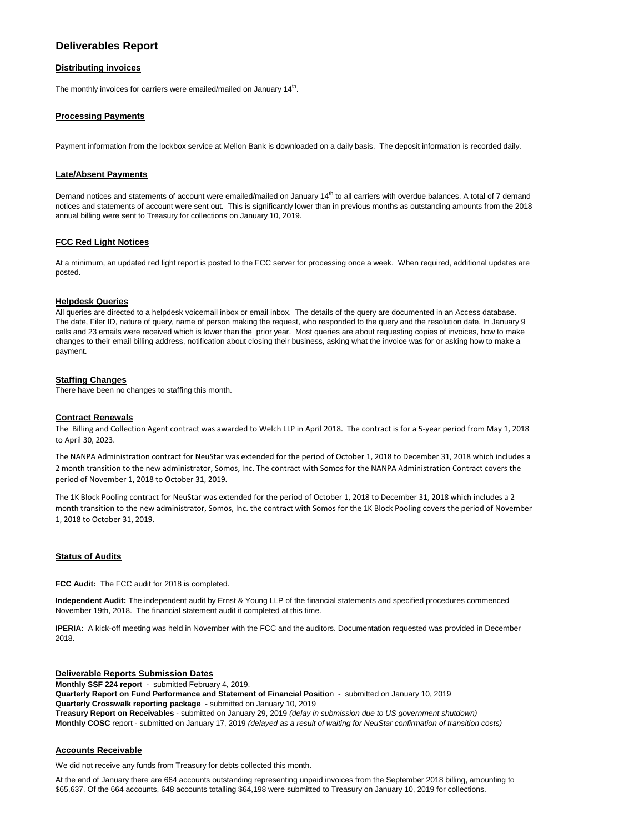## **Deliverables Report**

## **Distributing invoices**

The monthly invoices for carriers were emailed/mailed on January 14<sup>th</sup>.

## **Processing Payments**

Payment information from the lockbox service at Mellon Bank is downloaded on a daily basis. The deposit information is recorded daily.

#### **Late/Absent Payments**

Demand notices and statements of account were emailed/mailed on January 14<sup>th</sup> to all carriers with overdue balances. A total of 7 demand notices and statements of account were sent out. This is significantly lower than in previous months as outstanding amounts from the 2018 annual billing were sent to Treasury for collections on January 10, 2019.

#### **FCC Red Light Notices**

At a minimum, an updated red light report is posted to the FCC server for processing once a week. When required, additional updates are posted.

#### **Helpdesk Queries**

All queries are directed to a helpdesk voicemail inbox or email inbox. The details of the query are documented in an Access database. The date, Filer ID, nature of query, name of person making the request, who responded to the query and the resolution date. In January 9 calls and 23 emails were received which is lower than the prior year. Most queries are about requesting copies of invoices, how to make changes to their email billing address, notification about closing their business, asking what the invoice was for or asking how to make a payment.

#### **Staffing Changes**

There have been no changes to staffing this month.

#### **Contract Renewals**

The Billing and Collection Agent contract was awarded to Welch LLP in April 2018. The contract is for a 5-year period from May 1, 2018 to April 30, 2023.

The NANPA Administration contract for NeuStar was extended for the period of October 1, 2018 to December 31, 2018 which includes a 2 month transition to the new administrator, Somos, Inc. The contract with Somos for the NANPA Administration Contract covers the period of November 1, 2018 to October 31, 2019.

The 1K Block Pooling contract for NeuStar was extended for the period of October 1, 2018 to December 31, 2018 which includes a 2 month transition to the new administrator, Somos, Inc. the contract with Somos for the 1K Block Pooling covers the period of November 1, 2018 to October 31, 2019.

#### **Status of Audits**

**FCC Audit:** The FCC audit for 2018 is completed.

**Independent Audit:** The independent audit by Ernst & Young LLP of the financial statements and specified procedures commenced November 19th, 2018. The financial statement audit it completed at this time.

**IPERIA:** A kick-off meeting was held in November with the FCC and the auditors. Documentation requested was provided in December 2018.

### **Deliverable Reports Submission Dates**

**Monthly SSF 224 repor**t - submitted February 4, 2019. **Quarterly Report on Fund Performance and Statement of Financial Positio**n - submitted on January 10, 2019 **Quarterly Crosswalk reporting package** - submitted on January 10, 2019 **Treasury Report on Receivables** - submitted on January 29, 2019 *(delay in submission due to US government shutdown)* **Monthly COSC** report - submitted on January 17, 2019 *(delayed as a result of waiting for NeuStar confirmation of transition costs)*

#### **Accounts Receivable**

We did not receive any funds from Treasury for debts collected this month.

At the end of January there are 664 accounts outstanding representing unpaid invoices from the September 2018 billing, amounting to \$65,637. Of the 664 accounts, 648 accounts totalling \$64,198 were submitted to Treasury on January 10, 2019 for collections.